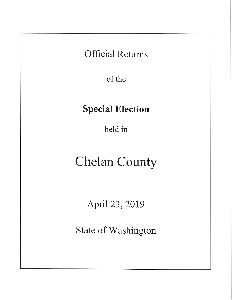# **Official Returns**

of the

# **Special Election**

held in

# **Chelan County**

April 23, 2019

State of Washington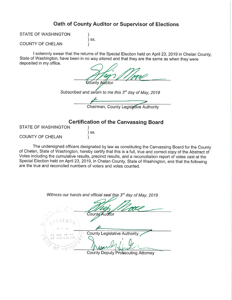### Oath of County Auditor or Supervisor of Elections

**STATE OF WASHINGTON** 

 $\lambda$  $)$  ss.  $\mathcal{E}$ 

### **COUNTY OF CHELAN**

I solemnly swear that the returns of the Special Election held on April 23, 2019 in Chelan County, State of Washington, have been in no way altered and that they are the same as when they were deposited in my office.

| County Auditor                                       |
|------------------------------------------------------|
| Subscribed and sworn to me this 3rd day of May, 2019 |
|                                                      |
| Chairman, County Legislative Authority               |

### **Certification of the Canvassing Board**

| STATE OF WASHINGTON     |       |
|-------------------------|-------|
|                         | ) SS. |
| <b>COUNTY OF CHELAN</b> |       |

The undersigned officers designated by law as constituting the Canvassing Board for the County of Chelan, State of Washington, hereby certify that this is a full, true and correct copy of the Abstract of Votes including the cumulative results, precinct results, and a reconciliation report of votes cast at the Special Election held on April 23, 2019, in Chelan County, State of Washington, and that the following are the true and reconciled numbers of voters and votes counted.

Witness our hands and official seal this 3rd day of May, 2019

County Auditor **County Legislative Authority** 

County Deputy Prosecuting Attorney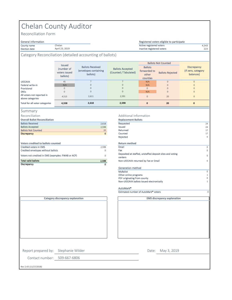## Chelan County Auditor

Chelan April 23, 2019

Reconciliation Form

### General information<br>County name

County name 4,543 Active registered voters Election date 223 Inactive registered voters

Category Reconciliation (detailed accounting of ballots)

|                                                | <b>Issued</b>                           |                                                              |                                                  |                                                     | <b>Ballots Not Counted</b> |                                                       |  |
|------------------------------------------------|-----------------------------------------|--------------------------------------------------------------|--------------------------------------------------|-----------------------------------------------------|----------------------------|-------------------------------------------------------|--|
|                                                | (number of<br>voters issued<br>ballots) | <b>Ballots Received</b><br>(envelopes containing<br>ballots) | <b>Ballots Accepted</b><br>(Counted / Tabulated) | <b>Ballots</b><br>forwarded to<br>other<br>counties | <b>Ballots Rejected</b>    | <b>Discrepancy</b><br>(If zero, category<br>balances) |  |
| <b>UOCAVA</b>                                  | 45                                      |                                                              |                                                  | N/A                                                 | $\mathbf{0}$               | $\Omega$                                              |  |
| Federal write-in                               | N/A                                     | 0                                                            | $\mathbf{0}$                                     | N/A                                                 | $\mathbf{0}$               | $\Omega$                                              |  |
| Provisional                                    | $\Omega$                                | 0                                                            | $\Omega$                                         | $\mathbf{0}$                                        | $\Omega$                   | $\Omega$                                              |  |
| <b>DRES</b>                                    | $\Omega$                                | 0                                                            | $\mathbf 0$                                      | N/A                                                 | $\mathbf{0}$               | $\Omega$                                              |  |
| All voters not reported in<br>above categories | 4,513                                   | 2,611                                                        | 2,591                                            | $\mathbf{0}$                                        | 20                         | $\Omega$                                              |  |
| Total for all voter categories                 | 4,558                                   | 2,618                                                        | 2,598                                            | $\mathbf{0}$                                        | 20                         | $\mathbf{0}$                                          |  |

#### Summary

Reconciliation

| Discrepancy                                        | 0           |                                    |
|----------------------------------------------------|-------------|------------------------------------|
| <b>Total valid ballots</b>                         | 2,598       | Non-UOCAVA returned                |
| Voters not credited in EMS (examples: FWAB or ACP) | 0           | Deposited at staffed, u<br>centers |
| Credited envelopes without ballots                 | 0           | Fax                                |
| Credited voters in FMS                             | 2,598       | Email                              |
| Voters credited to ballots counted                 |             | <b>Return method</b>               |
|                                                    |             | Rejected                           |
| <b>Discrepancy</b>                                 | $\mathbf 0$ | Counted                            |
| <b>Ballots Not Counted</b>                         | 20          | Returned                           |
| <b>Ballots Accepted</b>                            | 2,598       | <b>Issued</b>                      |
| <b>Ballots Received</b>                            | 2.618       | Requested                          |
| <b>Overall Ballot Reconciliation</b>               |             | <b>Replacement Ballots</b>         |

**Category discrepancy explanation**

#### Additional Information

| <b>Overall Ballot Reconciliation</b>               |              | <b>Replacement Ballots</b>                                          |             |
|----------------------------------------------------|--------------|---------------------------------------------------------------------|-------------|
| <b>Ballots Received</b>                            | 2,618        | Requested                                                           | 24          |
| <b>Ballots Accepted</b>                            | 2,598        | Issued                                                              | 24          |
| <b>Ballots Not Counted</b>                         | 20           | Returned                                                            | 17          |
| <b>Discrepancy</b>                                 | $\mathbf{0}$ | Counted                                                             | 17          |
|                                                    |              | Rejected                                                            | $\circ$     |
| <b>Voters credited to ballots counted</b>          |              | <b>Return method</b>                                                |             |
| <b>Credited voters in EMS</b>                      | 2,598        | Email                                                               | 0           |
| Credited envelopes without ballots                 | $\Omega$     | Fax                                                                 | $\Omega$    |
| Voters not credited in EMS (examples: FWAB or ACP) | 0            | Deposited at staffed, unstaffed deposit sites and voting<br>centers | $\circ$     |
| <b>Total valid ballots</b>                         | 2,598        | Non-UOCAVA returned by Fax or Email                                 | $\mathbf 0$ |
| Discrepancy                                        | 0            |                                                                     |             |
|                                                    |              | Generation method                                                   |             |
|                                                    |              | <b>MyBallot</b>                                                     | 0           |
|                                                    |              | Other online programs                                               |             |
|                                                    |              | PDF originating from county                                         | $\Omega$    |
|                                                    |              | Non-UOCAVA ballots issued electronically                            |             |
|                                                    |              | AutoMark <sup>®</sup>                                               |             |
|                                                    |              | Estimated number of AutoMark <sup>®</sup> voters                    | 0           |

Registered voters eligible to participate

**EMS discrepancy explanation**

Report prepared by: Stephanie Wilder

Contact number: 509-667-6806

Date: May 3, 2019

Rev 2.43 (11/27/2018)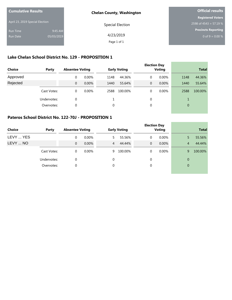| <b>Cumulative Results</b>       |            | <b>Chelan County, Washington</b> | <b>Official results</b>  |  |  |
|---------------------------------|------------|----------------------------------|--------------------------|--|--|
|                                 |            |                                  | <b>Registered Voters</b> |  |  |
| April 23, 2019 Special Election |            | Special Election                 | 2598 of 4543 = 57.19 %   |  |  |
| Run Time                        | 9:45 AM    |                                  | Precincts Reporting      |  |  |
| Run Date                        | 05/03/2019 | 4/23/2019                        | 0 of 9 = $0.00\%$        |  |  |
|                                 |            | Page 1 of 1                      |                          |  |  |

### **Lake Chelan School District No. 129 - PROPOSITION 1**

| <b>Choice</b> | Party       | <b>Absentee Voting</b> |          |      | <b>Early Voting</b> |   | <b>Election Day</b><br><b>Voting</b> |          | <b>Total</b> |
|---------------|-------------|------------------------|----------|------|---------------------|---|--------------------------------------|----------|--------------|
| Approved      |             | 0                      | $0.00\%$ | 1148 | 44.36%              | 0 | $0.00\%$                             | 1148     | 44.36%       |
| Rejected      |             | $\mathbf{0}$           | 0.00%    | 1440 | 55.64%              | 0 | 0.00%                                | 1440     | 55.64%       |
|               | Cast Votes: | $\mathbf 0$            | $0.00\%$ | 2588 | 100.00%             | 0 | $0.00\%$                             | 2588     | 100.00%      |
|               | Undervotes: | 0                      |          |      |                     | 0 |                                      |          |              |
|               | Overvotes:  | $\mathbf 0$            |          | 0    |                     | 0 |                                      | $\theta$ |              |
|               |             |                        |          |      |                     |   |                                      |          |              |

### **Pateros School District No. 122-70J - PROPOSITION 1**

| Choice    | Party       | <b>Absentee Voting</b> |          |   | <b>Early Voting</b> | <b>Election Day</b> | <b>Voting</b> |                | <b>Total</b> |
|-----------|-------------|------------------------|----------|---|---------------------|---------------------|---------------|----------------|--------------|
| LEVY  YES |             | $\Omega$               | $0.00\%$ | 5 | 55.56%              | $\mathbf 0$         | 0.00%         | 5              | 55.56%       |
| LEVY  NO  |             | $\overline{0}$         | 0.00%    | 4 | 44.44%              | $\mathbf{0}$        | 0.00%         | $\overline{4}$ | 44.44%       |
|           | Cast Votes: | $\mathbf 0$            | $0.00\%$ | 9 | 100.00%             | $\mathbf 0$         | $0.00\%$      | 9              | 100.00%      |
|           | Undervotes: | 0                      |          | 0 |                     | 0                   |               | $\overline{0}$ |              |
|           | Overvotes:  | 0                      |          | 0 |                     | $\mathbf 0$         |               | $\overline{0}$ |              |
|           |             |                        |          |   |                     |                     |               |                |              |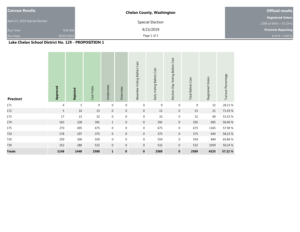| <b>Canvass Results</b>          |            | <b>Chelan County, Washington</b> | <b>Official results</b>    |
|---------------------------------|------------|----------------------------------|----------------------------|
|                                 |            |                                  | <b>Registered Voters</b>   |
| April 23, 2019 Special Election |            | Special Election                 | 2598 of 4543 = 57.19 %     |
| <b>Run Time</b>                 | 9:45 AM    | 4/23/2019                        | <b>Precincts Reporting</b> |
| <b>Run Date</b>                 | 05/03/2019 | Page 1 of 2                      | 0 of 9 = $0.00\%$          |

### **Lake Chelan School District No. 129 - PROPOSITION 1**

| <b>Precinct</b> | Approved       | Rejected | Cast Votes | Undervotes       | Overvotes      | Absentee Voting Ballots Cast | Early Voting Ballots Cast | Election Day Voting Ballots Cast | <b>Total Ballots Cast</b> | Registered Voters | Turnout Percentage |
|-----------------|----------------|----------|------------|------------------|----------------|------------------------------|---------------------------|----------------------------------|---------------------------|-------------------|--------------------|
| 171             | $\overline{4}$ | 5        | 9          | $\mathbf 0$      | $\mathbf 0$    | $\boldsymbol{0}$             | 9                         | $\mathbf 0$                      | 9                         | 32                | 28.13%             |
| 172             | 5              | $10\,$   | 15         | $\overline{0}$   | $\mathbf 0$    | $\mathbf{0}$                 | 15                        | $\boldsymbol{0}$                 | 15                        | 21                | 71.43 %            |
| 173             | 17             | 15       | 32         | $\mathbf 0$      | $\mathbf 0$    | $\mathbf 0$                  | 32                        | $\mathbf 0$                      | 32                        | 60                | 53.33 %            |
| 174             | 163            | 228      | 391        | $\mathbf{1}$     | $\mathbf 0$    | $\mathbf{0}$                 | 392                       | $\mathbf 0$                      | 392                       | 695               | 56.40 %            |
| 175             | 270            | 405      | 675        | $\boldsymbol{0}$ | $\mathbf 0$    | 0                            | 675                       | $\mathbf 0$                      | 675                       | 1165              | 57.94 %            |
| 710             | 178            | 197      | 375        | $\overline{0}$   | $\overline{0}$ | $\mathbf 0$                  | 375                       | $\overline{0}$                   | 375                       | 644               | 58.23 %            |
| 720             | 259            | 300      | 559        | $\mathbf 0$      | $\mathbf 0$    | $\mathbf 0$                  | 559                       | $\mathbf 0$                      | 559                       | 849               | 65.84 %            |
| 730             | 252            | 280      | 532        | $\mathbf 0$      | $\mathbf 0$    | $\mathbf{0}$                 | 532                       | $\boldsymbol{0}$                 | 532                       | 1059              | 50.24 %            |
| <b>Totals</b>   | 1148           | 1440     | 2588       | $\mathbf{1}$     | $\mathbf 0$    | $\mathbf 0$                  | 2589                      | $\mathbf 0$                      | 2589                      | 4525              | 57.22 %            |